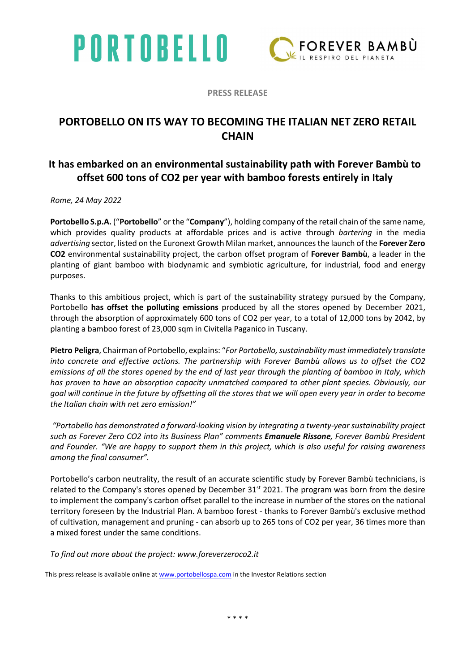# PORTOBELLO



PRESS RELEASE

### PORTOBELLO ON ITS WAY TO BECOMING THE ITALIAN NET ZERO RETAIL **CHAIN**

#### It has embarked on an environmental sustainability path with Forever Bambù to offset 600 tons of CO2 per year with bamboo forests entirely in Italy

Rome, 24 May 2022

Portobello S.p.A. ("Portobello" or the "Company"), holding company of the retail chain of the same name, which provides quality products at affordable prices and is active through bartering in the media advertising sector, listed on the Euronext Growth Milan market, announces the launch of the Forever Zero CO2 environmental sustainability project, the carbon offset program of Forever Bambù, a leader in the planting of giant bamboo with biodynamic and symbiotic agriculture, for industrial, food and energy purposes.

Thanks to this ambitious project, which is part of the sustainability strategy pursued by the Company, Portobello has offset the polluting emissions produced by all the stores opened by December 2021, through the absorption of approximately 600 tons of CO2 per year, to a total of 12,000 tons by 2042, by planting a bamboo forest of 23,000 sqm in Civitella Paganico in Tuscany.

Pietro Peligra, Chairman of Portobello, explains: "For Portobello, sustainability must immediately translate into concrete and effective actions. The partnership with Forever Bambù allows us to offset the CO2 emissions of all the stores opened by the end of last year through the planting of bamboo in Italy, which has proven to have an absorption capacity unmatched compared to other plant species. Obviously, our goal will continue in the future by offsetting all the stores that we will open every year in order to become the Italian chain with net zero emission!"

 "Portobello has demonstrated a forward-looking vision by integrating a twenty-year sustainability project such as Forever Zero CO2 into its Business Plan" comments Emanuele Rissone, Forever Bambù President and Founder. "We are happy to support them in this project, which is also useful for raising awareness among the final consumer".

Portobello's carbon neutrality, the result of an accurate scientific study by Forever Bambù technicians, is related to the Company's stores opened by December  $31<sup>st</sup>$  2021. The program was born from the desire to implement the company's carbon offset parallel to the increase in number of the stores on the national territory foreseen by the Industrial Plan. A bamboo forest - thanks to Forever Bambù's exclusive method of cultivation, management and pruning - can absorb up to 265 tons of CO2 per year, 36 times more than a mixed forest under the same conditions.

To find out more about the project: www.foreverzeroco2.it

This press release is available online at www.portobellospa.com in the Investor Relations section